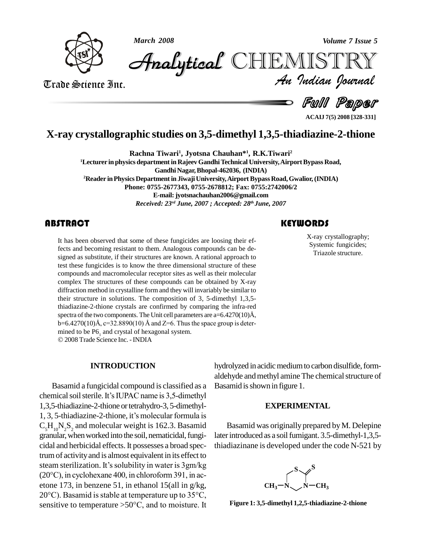



*Volume 7 Issue 5*<br>IISTRY<br>Indian Iournal **Analytical** CHIEMIST

Trade Science Inc. Trade Science Inc.

Full Paper

# **X-ray crystallographic studies on 3,5-dimethyl 1,3,5-thiadiazine-2-thione**

**Rachna Tiwari<sup>1</sup> , Jyotsna Chauhan\* 1 , R.K.Tiwari<sup>2</sup>**

**<sup>1</sup>Lecturer in physics departmentin RajeevGandhiTechnical University,AirportBypass Road,**

**GandhiNagar,Bhopal-462036, (INDIA)**

<sup>2</sup>**Reader** in Physics Department in Jiwaji University, Airport Bypass Road, Gwalior, (INDIA) **Phone: 0755-2677343, 0755-2678812; Fax: 0755:2742006/2 E-mail:[jyotsnachauhan2006@gmail.com](mailto:jyotsnachauhan2006@gmail.com)** *Received: 23 rd June, 2007 ; Accepted: 28 th June, 2007*

It has been observed that<br>fects and becoming resis<br>signed as substitute, if the It has been observed that some of these fungicides are loosing their effects and becoming resistant to them. Analogous compounds can be de signed as substitute, if their structures are known. A rational approach to test these fungicides is to know the three dimensional structure of these compounds and macromolecular receptor sites as well as their molecular complex The structures of these compounds can be obtained by X-ray diffraction method in crystalline form and they will invariably be similar to their structure in solutions. The composition of  $3$ ,  $5$ -dimethyl 1,3,5thiadiazine-2-thione crystals are confirmed by comparing the infra-red their structure in solutions. The composition of 3, 5-dimethyl 1,3,5-thiadiazine-2-thione crystals are confirmed by comparing the infra-red spectra of the two components. The Unit cell parameters are  $a=6.4270(10)$ Å, thiadiazine-2-thione crystals are confirmed by comparing the infra-red spectra of the two components. The Unit cell parameters are a=6.4270(10)Å, b=6.4270(10)Å, c=32.8890(10) Å and Z=6. Thus the space group is deterb=6.4270(10)Å, c=32.8890(10)Å and Z=6. Thus the space group is determined to be P6<sub>1</sub> and crystal of hexagonal system. 2008 Trade Science Inc. -INDIA

**INTRODUCTION**

Basamid a fungicidal compound isclassified as a chemical soil sterile. It's IUPAC name is 3,5-dimethyl 1,3,5-thiadiazine-2-thione ortetrahydro-3, 5-dimethyl chemical soil sterile. It's IUPAC name is 3,5-dimethyl<br>1,3,5-thiadiazine-2-thione or tetrahydro-3, 5-dimethyl-<br>1, 3, 5-thiadiazine-2-thione, it's molecular formula is  $C_5H_{10}N_2S_2$  and molecular weight is 162.3. Basamid granular, when worked into the soil, nematicidal, fungicidal and herbicidal effects. It possesses a broad spec-<br>trum of activity and is almost equivalent in its effect to<br>steam sterilization. It's solubility in water is 3gm/kg trum of activity and is almost equivalent in its effect to trum of activity and is almost equivalent in its effect to<br>steam sterilization. It's solubility in water is 3gm/kg<br>(20°C), in cyclohexane 400, in chloroform 391, in acetone 173, in benzene 51, in ethanol 15(all in g/kg, (20°C), in cyclohexane 400, in chloroform 391, in ac-<br>etone 173, in benzene 51, in ethanol 15(all in g/kg,<br>20°C). Basamid is stable at temperature up to 35°C, 20°C). Basamid is stable at temperature up to  $35^{\circ}$ C, sensitive to temperature >50°C, and to moisture. It

hydrolyzed in acidic medium to carbon disulfide, formaldehyde and methyl amine The chemical structure of Basamid is shown in figure 1.

#### **EXPERIMENTAL**

Basamid was originally prepared by M. Delepine later introduced as a soil fumigant. 3.5-dimethyl-1,3,5thiadiazinane is developed under the code N-521 by



**Figure 1: 3,5-dimethyl 1,2,5-thiadiazine-2-thione**

**KEYWORDS** 

X-ray crystallogra<br>Systemic fungicid<br>Triazole structur X-ray crystallography; Systemic fungicides; Triazole structure.

**ACAIJ 7(5) 2008 [328-331]**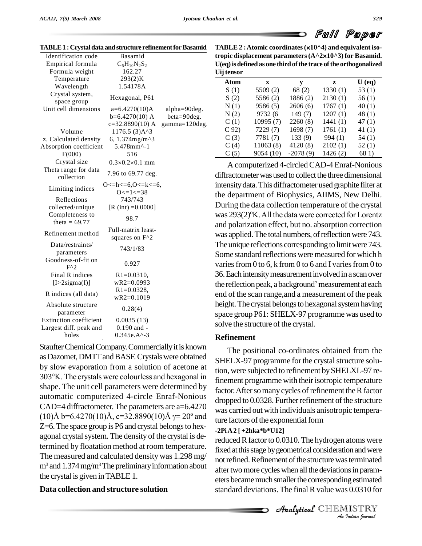|                                                                                                                                | d Full Paper |  |
|--------------------------------------------------------------------------------------------------------------------------------|--------------|--|
| TABLE $2:$ Atomic coordinates $(x10^{\wedge}4)$ and equivalent iso-<br>tropio digple coment perspecters (AA2x10A2) for Decemid |              |  |

| Identification code                | Basamid                             |               |
|------------------------------------|-------------------------------------|---------------|
| Empirical formula                  | $C_5H_{10}N_2S_2$                   |               |
| Formula weight                     | 162.27                              |               |
| Temperature                        | 293(2)K                             |               |
| Wavelength                         | 1.54178A                            |               |
| Crystal system,<br>space group     | Hexagonal, P61                      |               |
| Unit cell dimensions               | $a=6.4270(10)A$                     | alpha=90deg.  |
|                                    | $b=6.4270(10)$ A                    | beta=90deg.   |
|                                    | $c=32.8890(10)$ A                   | gamma=120deg. |
| Volume                             | $1176.5(3)$ A^3                     |               |
| z, Calculated density              | 6, 1.374mg/m^3                      |               |
| Absorption coefficient             | 5.478mm^-1                          |               |
| F(000)                             | 516                                 |               |
| Crystal size                       | $0.3 \times 0.2 \times 0.1$ mm      |               |
| Theta range for data<br>collection | 7.96 to 69.77 deg.                  |               |
|                                    | O <= h < $= 6, 0$ < $=k$ < $= 6, 6$ |               |
| Limiting indices                   | $O \leq l \leq 38$                  |               |
| Reflections                        | 743/743                             |               |
| collected/unique                   | $[R (int) = 0.0000]$                |               |
| Completeness to                    | 98.7                                |               |
| theta = $69.77$                    |                                     |               |
| Refinement method                  | Full-matrix least-                  |               |
|                                    | squares on F <sup>^2</sup>          |               |
| Data/restraints/                   | 743/1/83                            |               |
| parameters                         |                                     |               |
| Goodness-of-fit on                 | 0.927                               |               |
| $F^{\wedge}2$                      |                                     |               |
| Final R indices                    | $R1 = 0.0310$ ,                     |               |
| $[1>2$ sigma $(I)]$                | $wR2=0.0993$                        |               |
| R indices (all data)               | $R1 = 0.0328$ ,                     |               |
|                                    | $wR2=0.1019$                        |               |
| Absolute structure                 | 0.28(4)                             |               |
| parameter                          |                                     |               |
| Extinction coefficient             | 0.0035(13)                          |               |
| Largest diff. peak and             | $0.190$ and $-$                     |               |
| holes                              | $0.345e.A^2-3$                      |               |

|  | TABLE 1 : Crystal data and structure refinement for Basamid |  | TABLI |
|--|-------------------------------------------------------------|--|-------|
|--|-------------------------------------------------------------|--|-------|

StaufterChemicalCompany.Commerciallyitis known as Dazomet, DMTT and BASF. Crystals were obtained<br>by slow evaporation from a solution of acetone at tion, we<br>303°K. The crystals were colourless and hexagonal in fineme by slow evaporation from a solution of acetone at shape. The unit cell parameters were determined by automatic computerized 4-circle Enraf-Nonious<br>CAD=4 diffractometer. The parameters are a=6.4270 was can<br>(10)Å b=6.4270(10)Å, c=32.8890(10)Å  $\gamma$ = 20° and CAD=4 diffractometer.The parameters are a=6.4270 Z=6. The space group is P6 and crystal belongs to hexagonal crystal system. The density of the crystal is determined by floatation method at room temperature. The measured and calculated density was 1.298 mg/  $m<sup>3</sup>$  and 1.374 mg/m<sup>3</sup> The preliminary information about the crystal is given inTABLE1.

### **Data collection and structure solution**

## **tropic displacement parameters(A^210^3) for Basamid. U(eq)isdefined as one thirdofthe trace ofthe orthogonalized Uijtensor**

| og wawo |              |            |         |          |
|---------|--------------|------------|---------|----------|
| Atom    | $\mathbf{x}$ | v          | z       | $U$ (eq) |
| S(1)    | 5509(2)      | 68(2)      | 1330(1) | 53 $(1)$ |
| S(2)    | 5586(2)      | 1886(2)    | 2130(1) | 56(1)    |
| N(1)    | 9586(5)      | 2606(6)    | 1767(1) | 40(1)    |
| N(2)    | 9732 (6      | 149(7)     | 1207(1) | 48(1)    |
| C(1)    | 10995(7)     | 2260(8)    | 1441(1) | 47(1)    |
| $C$ 92) | 7229(7)      | 1698(7)    | 1761(1) | 41(1)    |
| C(3)    | 7781(7)      | 133(9)     | 994(1)  | 54(1)    |
| C(4)    | 11063(8)     | 4120(8)    | 2102(1) | 52(1)    |
| C(5)    | 9054 (10)    | $-2078(9)$ | 1426(2) | 68 1)    |
|         |              |            |         |          |

A computerized 4-circledCAD-4 Enraf-Nonious diffractometer was used to collect the three dimensional intensitydata.This diffractometer used graphite filter at the department of Biophysics, AIIMS, New Delhi. During the data collection temperature of the crystal the department of Biophysics, AIIMS, New Delhi.<br>During the data collection temperature of the crystal<br>was 293(2)°K. All the data were corrected for Lorentz and polarization effect, but no. absorption correction was applied. The total numbers, of reflection were 743. The unique reflections corresponding to limit were 743. Some standard reflections were measured for which h varies from 0 to 6, k from 0 to 6 and I varies from 0 to 36.Eachintensitymeasurementinvolved ina scan over the reflection peak, a background' measurement at each end of the scan range,and a measurement of the peak height. The crystal belongs to hexagonal system having space group P61: SHELX-97 programme was used to solve the structure of the crystal.

#### **Refinement**

The positional co-ordinates obtained from the SHELX-97 programme for the crystal structure solution, were subjected to refinement bySHELXL-97 refinement programme with their isotropic temperature factor. After so many cycles of refinement the R factor dropped to 0.0328. Further refinement of the structure was carried out with individuals anisotropic temperature factors of the exponential form

#### **-2PiA2 [ +2hka\*b\*U12]**

not refined. Refinement of the structure was terminated *Indian*<br>*Indian*<br>*I ISTRY*<br>*IISTRY*<br>*Indian bournal* reduced R factor to 0.0310. The hydrogen atoms were fixed at this stage by geometrical consideration and were after two more cycles when all the deviations in parameters became much smaller the corresponding estimated standard deviations. The final R value was 0.0310 for

**Analytical** CHEMISTRY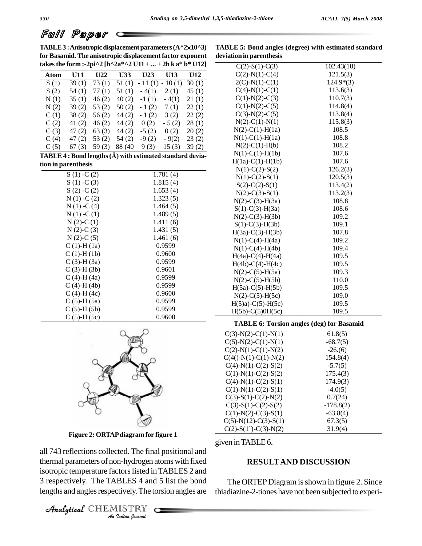# Full Paper

TABLE 3 : Anisotropic displacement parameters (A^2×10^3) **for Basamid. The anisotropic displacement factor exponent takesthe form :-2pi^2 [h^2a\*^2 U11 + ... + 2h k a\* b\* U12]**

**TABLE 5: Bond angles (degree) with estimated standard deviation in parenthesis**

| takes the form :-2pi^2 [h^2a*^2 U11 +  + 2h k a* b* U12]  |                  |                         |     |                                                   |                    |               |
|-----------------------------------------------------------|------------------|-------------------------|-----|---------------------------------------------------|--------------------|---------------|
| <b>Atom</b>                                               | U11              | U22                     | U33 | U23                                               | U13                | U12           |
| S(1)                                                      | 39(1)            | 73(1)                   |     | $51(1) - 11(1) - 10(1)$                           |                    | 30(1)         |
| S(2)                                                      | 54(1)            | 77(1)                   |     | $51(1) - 4(1)$                                    | 2(1)               | 45(1)         |
| N(1)                                                      | 35(1)            | 46(2)                   |     | $40(2) -1(1) -4(1) -21(1)$                        |                    |               |
| N(2)                                                      |                  | $39(2)$ $53(2)$ $50(2)$ |     |                                                   | $-1(2)$ 7(1) 22(1) |               |
| C(1)                                                      |                  |                         |     | $38(2)$ $56(2)$ $44(2)$ $-1(2)$ $3(2)$ $22(2)$    |                    |               |
| C(2)                                                      |                  |                         |     | 41 (2) 46 (2) 44 (2) 0 (2)                        | $-5(2)$ 28(1)      |               |
| C(3)                                                      |                  |                         |     | 47 (2) 63 (3) 44 (2) -5 (2) 0 (2) 20 (2)          |                    |               |
| C(4)                                                      |                  |                         |     | 47 (2) $53$ (2) $54$ (2) $-9$ (2) $-9$ (2) 23 (2) |                    |               |
| C(5)                                                      | 67(3)            |                         |     | 59 (3) 88 (40 9 (3)                               |                    | $15(3)$ 39(2) |
| TABLE 4 : Bond lengths (Å) with estimated standard devia- |                  |                         |     |                                                   |                    |               |
| tion in parenthesis                                       |                  |                         |     |                                                   |                    |               |
|                                                           | $S(1) - C(2)$    |                         |     |                                                   | 1.781(4)           |               |
|                                                           | $S(1) - C(3)$    |                         |     |                                                   | 1.815(4)           |               |
|                                                           | $S(2) - C(2)$    |                         |     |                                                   | 1.653(4)           |               |
|                                                           | $N(1) - C(2)$    |                         |     |                                                   | 1.323(5)           |               |
|                                                           | $N(1) - C(4)$    |                         |     |                                                   | 1.464(5)           |               |
|                                                           | $N(1) - C(1)$    |                         |     |                                                   | 1.489(5)           |               |
|                                                           | $N(2)-C(1)$      |                         |     |                                                   | 1.411(6)           |               |
|                                                           | $N(2)-C(3)$      |                         |     |                                                   | 1.431(5)           |               |
|                                                           | $N(2)-C(5)$      |                         |     |                                                   | 1.461(6)           |               |
|                                                           | $C(1)$ -H $(1a)$ |                         |     |                                                   | 0.9599             |               |
|                                                           | $C(1)-H(1b)$     |                         |     |                                                   | 0.9600             |               |
|                                                           | $C(3)-H(3a)$     |                         |     |                                                   | 0.9599             |               |
|                                                           | $C(3)-H(3b)$     |                         |     |                                                   | 0.9601             |               |
|                                                           | $C(4)-H(4a)$     |                         |     |                                                   | 0.9599             |               |
|                                                           | $C(4)-H(4b)$     |                         |     |                                                   | 0.9599             |               |
|                                                           | $C(4)-H(4c)$     |                         |     |                                                   | 0.9600             |               |
|                                                           | $C(5)-H(5a)$     |                         |     |                                                   | 0.9599             |               |
|                                                           | $C(5)-H(5b)$     |                         |     |                                                   | 0.9599             |               |



 $C (5)-H (5c)$  0.9600

**Figure 2: ORTAPdiagram for figure 1**

thermal parameters of non-hydrogen atoms with fixed *In-hydrogen*<br>*Indian Indian*<br>*IISTRY*<br>*IISTRY* all 743 reflections collected. The final positional and isotropic temperature factors listed in TABLES 2 and 3 respectively. The TABLES 4 and 5 list the bond lengths and angles respectively. The torsion angles are

CHEMISTRY

| viation in parentnesis                           |             |
|--------------------------------------------------|-------------|
| $C(2)$ -S(1)-C(3)                                | 102.43(18)  |
| $C(2)-N(1)-C(4)$                                 | 121.5(3)    |
| $2(C)$ -N(1)-C(1)                                | $124.9*(3)$ |
| $C(4)-N(1)-C(1)$                                 | 113.6(3)    |
| $C(1)-N(2)-C(3)$                                 | 110.7(3)    |
| $C(1)-N(2)-C(5)$                                 | 114.8(4)    |
| $C(3)-N(2)-C(5)$                                 | 113.8(4)    |
| $N(2)-C(1)-N(1)$                                 | 115.8(3)    |
| $N(2)-C(1)-H(1a)$                                | 108.5       |
| $N(1)-C(1)-H(1a)$                                | 108.8       |
| $N(2)-C(1)-H(b)$                                 | 108.2       |
| $N(1)-C(1)-H(1b)$                                | 107.6       |
| $H(1a)-C(1)-H(1b)$                               | 107.6       |
| $N(1)-C(2)-S(2)$                                 | 126.2(3)    |
| $N(1)-C(2)-S(1)$                                 | 120.5(3)    |
| $S(2)$ -C(2)-S(1)                                | 113.4(2)    |
| $N(2)-C(3)-S(1)$                                 | 113.2(3)    |
| $N(2)$ -C(3)-H(3a)                               | 108.8       |
| $S(1)-C(3)-H(3a)$                                | 108.6       |
| $N(2)-C(3)-H(3b)$                                | 109.2       |
| $S(1)-C(3)-H(3b)$                                | 109.1       |
| $H(3a) - C(3) - H(3b)$                           | 107.8       |
| $N(1)-C(4)-H(4a)$                                | 109.2       |
| $N(1)-C(4)-H(4b)$                                | 109.4       |
| $H(4a) - C(4) - H(4a)$                           | 109.5       |
| $H(4b) - C(4) - H(4c)$                           | 109.5       |
| $N(2)$ -C(5)-H(5a)                               | 109.3       |
| $N(2)$ -C(5)-H(5b)                               | 110.0       |
| $H(5a)-C(5)-H(5b)$                               | 109.5       |
| $N(2)-C(5)-H(5c)$                                | 109.0       |
| $H(5)a$ )-C(5)-H(5c)                             | 109.5       |
| $H(5b) - C(5)0H(5c)$                             | 109.5       |
| <b>TABLE 6: Torsion angles (deg) for Basamid</b> |             |
| $C(3)-N(2)-C(1)-N(1)$                            | 61.8(5)     |
| $C(5)-N(2)-C(1)-N(1)$                            | $-68.7(5)$  |
| $C(2)-N(1)-C(1)-N(2)$                            | $-26(6)$    |
| $C(4() - N(1) - C(1) - N(2))$                    | 154.8(4)    |
| $C(4)-N(1)-C(2)-S(2)$                            | $-5.7(5)$   |
| $C(1)-N(1)-C(2)-S(2)$                            | 175.4(3)    |
| $C(4)-N(1)-C(2)-S(1)$                            | 174.9(3)    |
| $C(1)-N(1)-C(2)-S(1)$                            | $-4.0(5)$   |
| $C(3)-S(1)-C(2)-N(2)$                            | 0.7(24)     |
| $C(3)-S(1)-C(2)-S(2)$                            | $-178.8(2)$ |
| $C(1)-N(2)-C(3)-S(1)$                            | $-63.8(4)$  |
| $C(5)-N(12)-C(3)-S(1)$                           | 67.3(5)     |
| $C(2)-S(1) - C(3) - N(2)$                        | 31.9(4)     |

given inTABLE6.

#### **RESULTAND DISCUSSION**

The ORTEP Diagram is shown in figure 2. Since thiadiazine-2-tiones have not been subjected to experi-